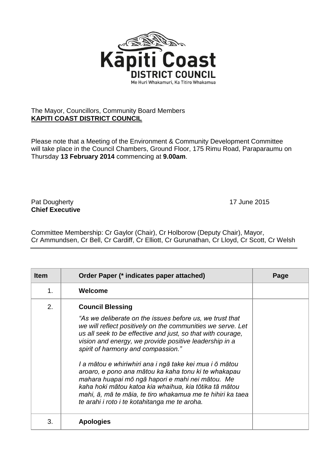

## The Mayor, Councillors, Community Board Members **KAPITI COAST DISTRICT COUNCIL**

Please note that a Meeting of the Environment & Community Development Committee will take place in the Council Chambers, Ground Floor, 175 Rimu Road, Paraparaumu on Thursday **13 February 2014** commencing at **9.00am**.

## Pat Dougherty **17** June 2015 **Chief Executive**

Committee Membership: Cr Gaylor (Chair), Cr Holborow (Deputy Chair), Mayor, Cr Ammundsen, Cr Bell, Cr Cardiff, Cr Elliott, Cr Gurunathan, Cr Lloyd, Cr Scott, Cr Welsh

| <b>Item</b> | Order Paper (* indicates paper attached)                                                                                                                                                                                                                                                                                                                                                                                                                                                                                                                                                                                                                          | Page |
|-------------|-------------------------------------------------------------------------------------------------------------------------------------------------------------------------------------------------------------------------------------------------------------------------------------------------------------------------------------------------------------------------------------------------------------------------------------------------------------------------------------------------------------------------------------------------------------------------------------------------------------------------------------------------------------------|------|
| 1.          | Welcome                                                                                                                                                                                                                                                                                                                                                                                                                                                                                                                                                                                                                                                           |      |
| 2.          | <b>Council Blessing</b><br>"As we deliberate on the issues before us, we trust that<br>we will reflect positively on the communities we serve. Let<br>us all seek to be effective and just, so that with courage,<br>vision and energy, we provide positive leadership in a<br>spirit of harmony and compassion."<br>I a mātou e whiriwhiri ana i ngā take kei mua i ō mātou<br>aroaro, e pono ana mātou ka kaha tonu ki te whakapau<br>mahara huapai mō ngā hapori e mahi nei mātou. Me<br>kaha hoki mātou katoa kia whaihua, kia tōtika tā mātou<br>mahi, ā, mā te māia, te tiro whakamua me te hihiri ka taea<br>te arahi i roto i te kotahitanga me te aroha. |      |
| 3.          | <b>Apologies</b>                                                                                                                                                                                                                                                                                                                                                                                                                                                                                                                                                                                                                                                  |      |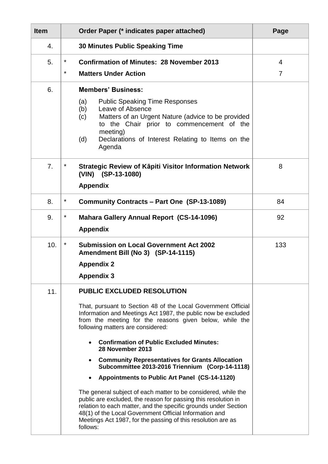| <b>Item</b>    | Order Paper (* indicates paper attached)                                                                                                                                                                                                                                                                                                  | Page |
|----------------|-------------------------------------------------------------------------------------------------------------------------------------------------------------------------------------------------------------------------------------------------------------------------------------------------------------------------------------------|------|
| 4.             | <b>30 Minutes Public Speaking Time</b>                                                                                                                                                                                                                                                                                                    |      |
| 5.             | *<br><b>Confirmation of Minutes: 28 November 2013</b>                                                                                                                                                                                                                                                                                     | 4    |
|                | $\star$<br><b>Matters Under Action</b>                                                                                                                                                                                                                                                                                                    | 7    |
| 6.             | <b>Members' Business:</b>                                                                                                                                                                                                                                                                                                                 |      |
|                | <b>Public Speaking Time Responses</b><br>(a)<br>Leave of Absence<br>(b)<br>Matters of an Urgent Nature (advice to be provided<br>(c)<br>to the Chair prior to commencement of the<br>meeting)<br>(d)<br>Declarations of Interest Relating to Items on the<br>Agenda                                                                       |      |
| 7 <sub>1</sub> | $\ast$<br>Strategic Review of Kāpiti Visitor Information Network<br>(VIN) (SP-13-1080)                                                                                                                                                                                                                                                    | 8    |
|                | <b>Appendix</b>                                                                                                                                                                                                                                                                                                                           |      |
| 8.             | $\ast$<br><b>Community Contracts - Part One (SP-13-1089)</b>                                                                                                                                                                                                                                                                              | 84   |
| 9.             | $\ast$<br><b>Mahara Gallery Annual Report (CS-14-1096)</b><br><b>Appendix</b>                                                                                                                                                                                                                                                             | 92   |
| 10.            | $\star$<br><b>Submission on Local Government Act 2002</b><br>Amendment Bill (No 3) (SP-14-1115)                                                                                                                                                                                                                                           | 133  |
|                | <b>Appendix 2</b>                                                                                                                                                                                                                                                                                                                         |      |
|                | <b>Appendix 3</b>                                                                                                                                                                                                                                                                                                                         |      |
| 11.            | <b>PUBLIC EXCLUDED RESOLUTION</b>                                                                                                                                                                                                                                                                                                         |      |
|                | That, pursuant to Section 48 of the Local Government Official<br>Information and Meetings Act 1987, the public now be excluded<br>from the meeting for the reasons given below, while the<br>following matters are considered:                                                                                                            |      |
|                | <b>Confirmation of Public Excluded Minutes:</b><br>28 November 2013                                                                                                                                                                                                                                                                       |      |
|                | <b>Community Representatives for Grants Allocation</b><br>Subcommittee 2013-2016 Triennium (Corp-14-1118)                                                                                                                                                                                                                                 |      |
|                | Appointments to Public Art Panel (CS-14-1120)                                                                                                                                                                                                                                                                                             |      |
|                | The general subject of each matter to be considered, while the<br>public are excluded, the reason for passing this resolution in<br>relation to each matter, and the specific grounds under Section<br>48(1) of the Local Government Official Information and<br>Meetings Act 1987, for the passing of this resolution are as<br>follows: |      |